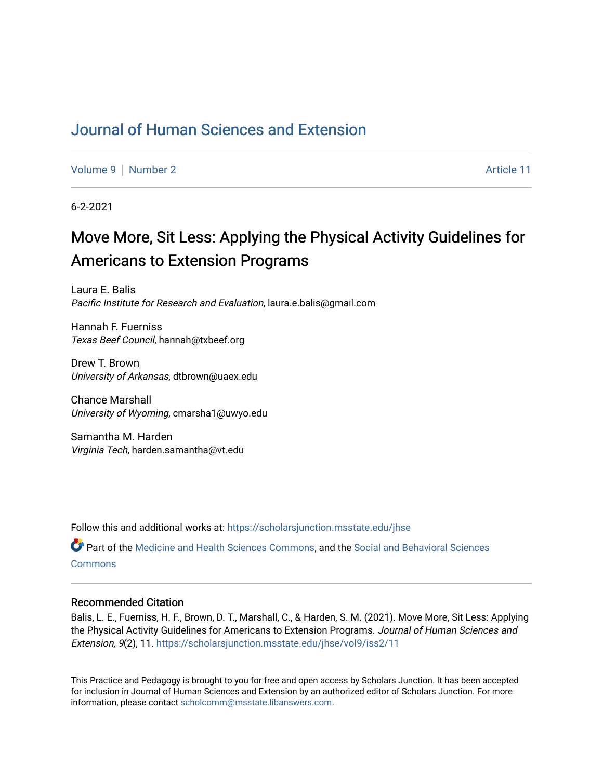### [Journal of Human Sciences and Extension](https://scholarsjunction.msstate.edu/jhse)

[Volume 9](https://scholarsjunction.msstate.edu/jhse/vol9) | [Number 2](https://scholarsjunction.msstate.edu/jhse/vol9/iss2) Article 11

6-2-2021

# Move More, Sit Less: Applying the Physical Activity Guidelines for Americans to Extension Programs

Laura E. Balis Pacific Institute for Research and Evaluation, laura.e.balis@gmail.com

Hannah F. Fuerniss Texas Beef Council, hannah@txbeef.org

Drew T. Brown University of Arkansas, dtbrown@uaex.edu

Chance Marshall University of Wyoming, cmarsha1@uwyo.edu

Samantha M. Harden Virginia Tech, harden.samantha@vt.edu

Follow this and additional works at: [https://scholarsjunction.msstate.edu/jhse](https://scholarsjunction.msstate.edu/jhse?utm_source=scholarsjunction.msstate.edu%2Fjhse%2Fvol9%2Fiss2%2F11&utm_medium=PDF&utm_campaign=PDFCoverPages)

Part of the [Medicine and Health Sciences Commons,](http://network.bepress.com/hgg/discipline/648?utm_source=scholarsjunction.msstate.edu%2Fjhse%2Fvol9%2Fiss2%2F11&utm_medium=PDF&utm_campaign=PDFCoverPages) and the [Social and Behavioral Sciences](http://network.bepress.com/hgg/discipline/316?utm_source=scholarsjunction.msstate.edu%2Fjhse%2Fvol9%2Fiss2%2F11&utm_medium=PDF&utm_campaign=PDFCoverPages) **[Commons](http://network.bepress.com/hgg/discipline/316?utm_source=scholarsjunction.msstate.edu%2Fjhse%2Fvol9%2Fiss2%2F11&utm_medium=PDF&utm_campaign=PDFCoverPages)** 

#### Recommended Citation

Balis, L. E., Fuerniss, H. F., Brown, D. T., Marshall, C., & Harden, S. M. (2021). Move More, Sit Less: Applying the Physical Activity Guidelines for Americans to Extension Programs. Journal of Human Sciences and Extension, 9(2), 11. [https://scholarsjunction.msstate.edu/jhse/vol9/iss2/11](https://scholarsjunction.msstate.edu/jhse/vol9/iss2/11?utm_source=scholarsjunction.msstate.edu%2Fjhse%2Fvol9%2Fiss2%2F11&utm_medium=PDF&utm_campaign=PDFCoverPages) 

This Practice and Pedagogy is brought to you for free and open access by Scholars Junction. It has been accepted for inclusion in Journal of Human Sciences and Extension by an authorized editor of Scholars Junction. For more information, please contact [scholcomm@msstate.libanswers.com](mailto:scholcomm@msstate.libanswers.com).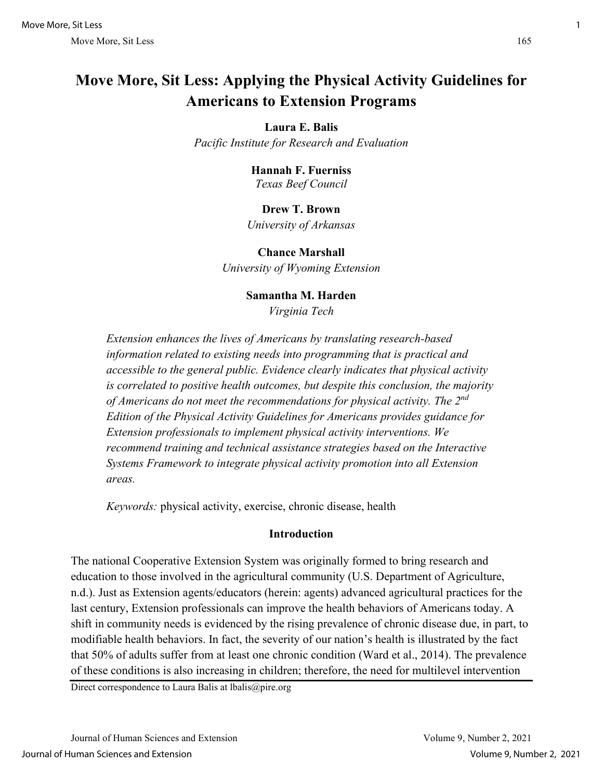## **Move More, Sit Less: Applying the Physical Activity Guidelines for Americans to Extension Programs**

#### **Laura E. Balis**

*Pacific Institute for Research and Evaluation* 

#### **Hannah F. Fuerniss** *Texas Beef Council*

#### **Drew T. Brown** *University of Arkansas*

**Chance Marshall** *University of Wyoming Extension* 

#### **Samantha M. Harden**

*Virginia Tech* 

*Extension enhances the lives of Americans by translating research-based information related to existing needs into programming that is practical and accessible to the general public. Evidence clearly indicates that physical activity is correlated to positive health outcomes, but despite this conclusion, the majority of Americans do not meet the recommendations for physical activity. The 2nd Edition of the Physical Activity Guidelines for Americans provides guidance for Extension professionals to implement physical activity interventions. We recommend training and technical assistance strategies based on the Interactive Systems Framework to integrate physical activity promotion into all Extension areas.* 

*Keywords:* physical activity, exercise, chronic disease, health

#### **Introduction**

The national Cooperative Extension System was originally formed to bring research and education to those involved in the agricultural community (U.S. Department of Agriculture, n.d.). Just as Extension agents/educators (herein: agents) advanced agricultural practices for the last century, Extension professionals can improve the health behaviors of Americans today. A shift in community needs is evidenced by the rising prevalence of chronic disease due, in part, to modifiable health behaviors. In fact, the severity of our nation's health is illustrated by the fact that 50% of adults suffer from at least one chronic condition (Ward et al., 2014). The prevalence of these conditions is also increasing in children; therefore, the need for multilevel intervention

Direct correspondence to Laura Balis at lbalis@pire.org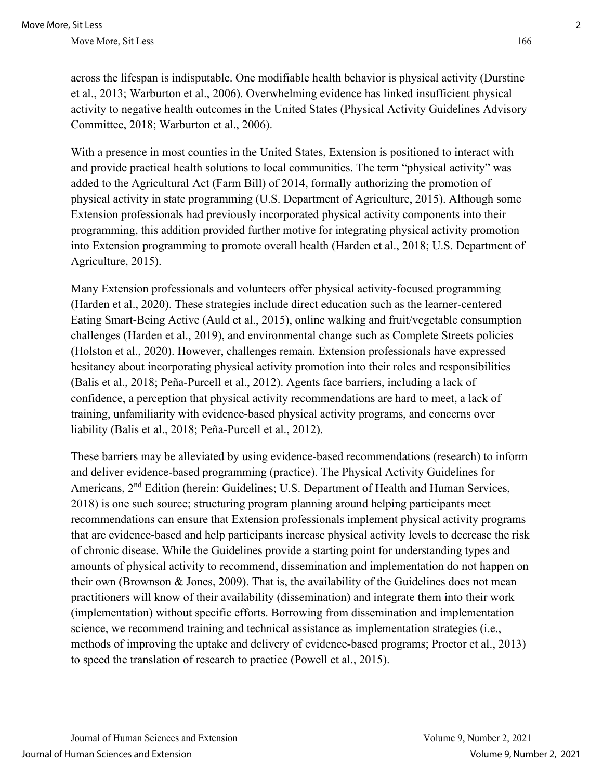across the lifespan is indisputable. One modifiable health behavior is physical activity (Durstine et al., 2013; Warburton et al., 2006). Overwhelming evidence has linked insufficient physical activity to negative health outcomes in the United States (Physical Activity Guidelines Advisory Committee, 2018; Warburton et al., 2006).

With a presence in most counties in the United States, Extension is positioned to interact with and provide practical health solutions to local communities. The term "physical activity" was added to the Agricultural Act (Farm Bill) of 2014, formally authorizing the promotion of physical activity in state programming (U.S. Department of Agriculture, 2015). Although some Extension professionals had previously incorporated physical activity components into their programming, this addition provided further motive for integrating physical activity promotion into Extension programming to promote overall health (Harden et al., 2018; U.S. Department of Agriculture, 2015).

Many Extension professionals and volunteers offer physical activity-focused programming (Harden et al., 2020). These strategies include direct education such as the learner-centered Eating Smart-Being Active (Auld et al., 2015), online walking and fruit/vegetable consumption challenges (Harden et al., 2019), and environmental change such as Complete Streets policies (Holston et al., 2020). However, challenges remain. Extension professionals have expressed hesitancy about incorporating physical activity promotion into their roles and responsibilities (Balis et al., 2018; Peña-Purcell et al., 2012). Agents face barriers, including a lack of confidence, a perception that physical activity recommendations are hard to meet, a lack of training, unfamiliarity with evidence-based physical activity programs, and concerns over liability (Balis et al., 2018; Peña-Purcell et al., 2012).

These barriers may be alleviated by using evidence-based recommendations (research) to inform and deliver evidence-based programming (practice). The Physical Activity Guidelines for Americans, 2<sup>nd</sup> Edition (herein: Guidelines; U.S. Department of Health and Human Services, 2018) is one such source; structuring program planning around helping participants meet recommendations can ensure that Extension professionals implement physical activity programs that are evidence-based and help participants increase physical activity levels to decrease the risk of chronic disease. While the Guidelines provide a starting point for understanding types and amounts of physical activity to recommend, dissemination and implementation do not happen on their own (Brownson  $\&$  Jones, 2009). That is, the availability of the Guidelines does not mean practitioners will know of their availability (dissemination) and integrate them into their work (implementation) without specific efforts. Borrowing from dissemination and implementation science, we recommend training and technical assistance as implementation strategies (i.e., methods of improving the uptake and delivery of evidence-based programs; Proctor et al., 2013) to speed the translation of research to practice (Powell et al., 2015).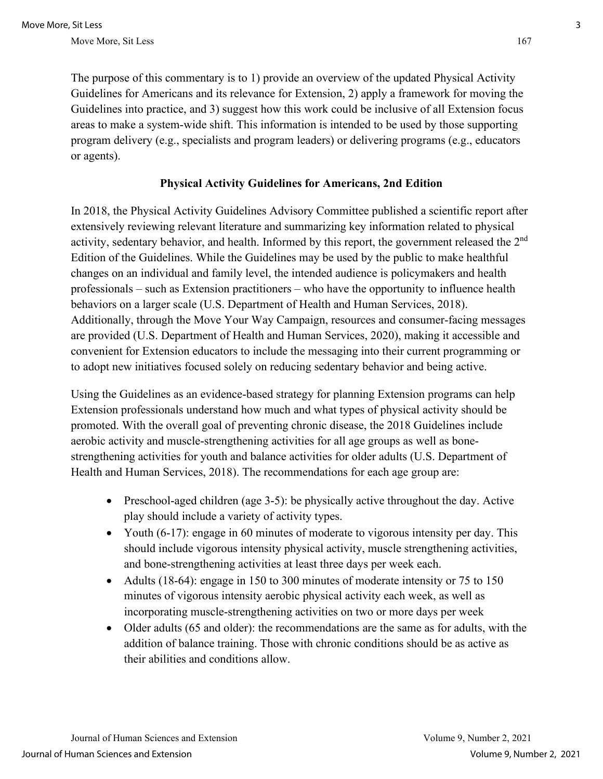The purpose of this commentary is to 1) provide an overview of the updated Physical Activity Guidelines for Americans and its relevance for Extension, 2) apply a framework for moving the Guidelines into practice, and 3) suggest how this work could be inclusive of all Extension focus areas to make a system-wide shift. This information is intended to be used by those supporting program delivery (e.g., specialists and program leaders) or delivering programs (e.g., educators or agents).

#### **Physical Activity Guidelines for Americans, 2nd Edition**

In 2018, the Physical Activity Guidelines Advisory Committee published a scientific report after extensively reviewing relevant literature and summarizing key information related to physical activity, sedentary behavior, and health. Informed by this report, the government released the 2<sup>nd</sup> Edition of the Guidelines. While the Guidelines may be used by the public to make healthful changes on an individual and family level, the intended audience is policymakers and health professionals – such as Extension practitioners – who have the opportunity to influence health behaviors on a larger scale (U.S. Department of Health and Human Services, 2018). Additionally, through the Move Your Way Campaign, resources and consumer-facing messages are provided (U.S. Department of Health and Human Services, 2020), making it accessible and convenient for Extension educators to include the messaging into their current programming or to adopt new initiatives focused solely on reducing sedentary behavior and being active.

Using the Guidelines as an evidence-based strategy for planning Extension programs can help Extension professionals understand how much and what types of physical activity should be promoted. With the overall goal of preventing chronic disease, the 2018 Guidelines include aerobic activity and muscle-strengthening activities for all age groups as well as bonestrengthening activities for youth and balance activities for older adults (U.S. Department of Health and Human Services, 2018). The recommendations for each age group are:

- Preschool-aged children (age 3-5): be physically active throughout the day. Active play should include a variety of activity types.
- Youth (6-17): engage in 60 minutes of moderate to vigorous intensity per day. This should include vigorous intensity physical activity, muscle strengthening activities, and bone-strengthening activities at least three days per week each.
- Adults (18-64): engage in 150 to 300 minutes of moderate intensity or 75 to 150 minutes of vigorous intensity aerobic physical activity each week, as well as incorporating muscle-strengthening activities on two or more days per week
- Older adults (65 and older): the recommendations are the same as for adults, with the addition of balance training. Those with chronic conditions should be as active as their abilities and conditions allow.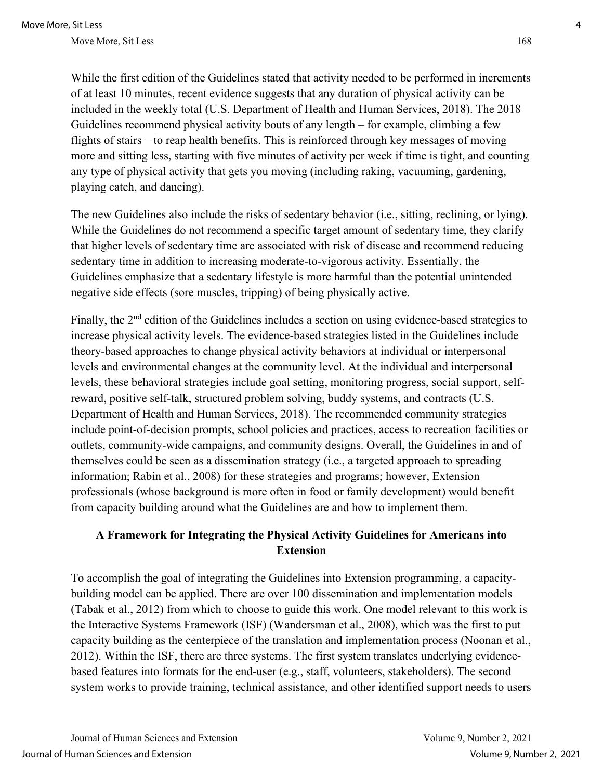While the first edition of the Guidelines stated that activity needed to be performed in increments of at least 10 minutes, recent evidence suggests that any duration of physical activity can be included in the weekly total (U.S. Department of Health and Human Services, 2018). The 2018 Guidelines recommend physical activity bouts of any length – for example, climbing a few flights of stairs – to reap health benefits. This is reinforced through key messages of moving more and sitting less, starting with five minutes of activity per week if time is tight, and counting any type of physical activity that gets you moving (including raking, vacuuming, gardening, playing catch, and dancing).

The new Guidelines also include the risks of sedentary behavior (i.e., sitting, reclining, or lying). While the Guidelines do not recommend a specific target amount of sedentary time, they clarify that higher levels of sedentary time are associated with risk of disease and recommend reducing sedentary time in addition to increasing moderate-to-vigorous activity. Essentially, the Guidelines emphasize that a sedentary lifestyle is more harmful than the potential unintended negative side effects (sore muscles, tripping) of being physically active.

Finally, the 2<sup>nd</sup> edition of the Guidelines includes a section on using evidence-based strategies to increase physical activity levels. The evidence-based strategies listed in the Guidelines include theory-based approaches to change physical activity behaviors at individual or interpersonal levels and environmental changes at the community level. At the individual and interpersonal levels, these behavioral strategies include goal setting, monitoring progress, social support, selfreward, positive self-talk, structured problem solving, buddy systems, and contracts (U.S. Department of Health and Human Services, 2018). The recommended community strategies include point-of-decision prompts, school policies and practices, access to recreation facilities or outlets, community-wide campaigns, and community designs. Overall, the Guidelines in and of themselves could be seen as a dissemination strategy (i.e., a targeted approach to spreading information; Rabin et al., 2008) for these strategies and programs; however, Extension professionals (whose background is more often in food or family development) would benefit from capacity building around what the Guidelines are and how to implement them.

### **A Framework for Integrating the Physical Activity Guidelines for Americans into Extension**

To accomplish the goal of integrating the Guidelines into Extension programming, a capacitybuilding model can be applied. There are over 100 dissemination and implementation models (Tabak et al., 2012) from which to choose to guide this work. One model relevant to this work is the Interactive Systems Framework (ISF) (Wandersman et al., 2008), which was the first to put capacity building as the centerpiece of the translation and implementation process (Noonan et al., 2012). Within the ISF, there are three systems. The first system translates underlying evidencebased features into formats for the end-user (e.g., staff, volunteers, stakeholders). The second system works to provide training, technical assistance, and other identified support needs to users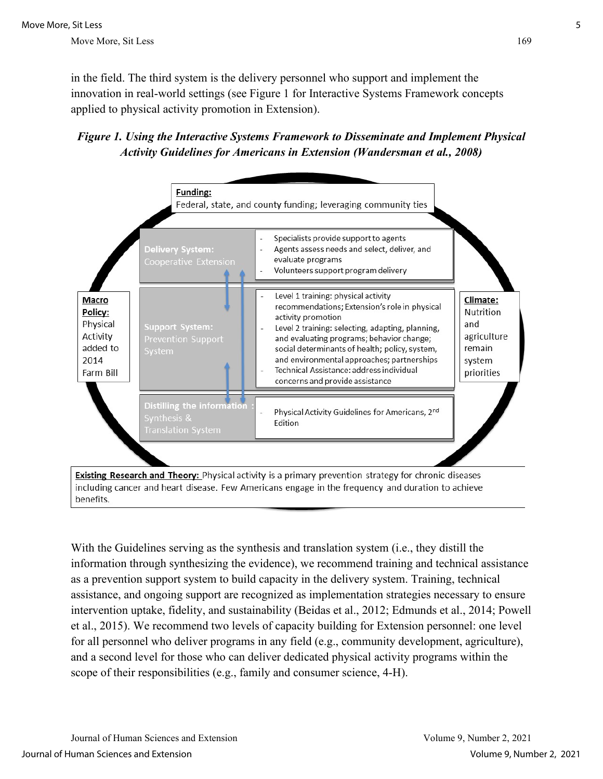in the field. The third system is the delivery personnel who support and implement the innovation in real-world settings (see Figure 1 for Interactive Systems Framework concepts applied to physical activity promotion in Extension).





including cancer and heart disease. Few Americans engage in the frequency and duration to achieve benefits.

With the Guidelines serving as the synthesis and translation system (i.e., they distill the information through synthesizing the evidence), we recommend training and technical assistance as a prevention support system to build capacity in the delivery system. Training, technical assistance, and ongoing support are recognized as implementation strategies necessary to ensure intervention uptake, fidelity, and sustainability (Beidas et al., 2012; Edmunds et al., 2014; Powell et al., 2015). We recommend two levels of capacity building for Extension personnel: one level for all personnel who deliver programs in any field (e.g., community development, agriculture), and a second level for those who can deliver dedicated physical activity programs within the scope of their responsibilities (e.g., family and consumer science, 4-H).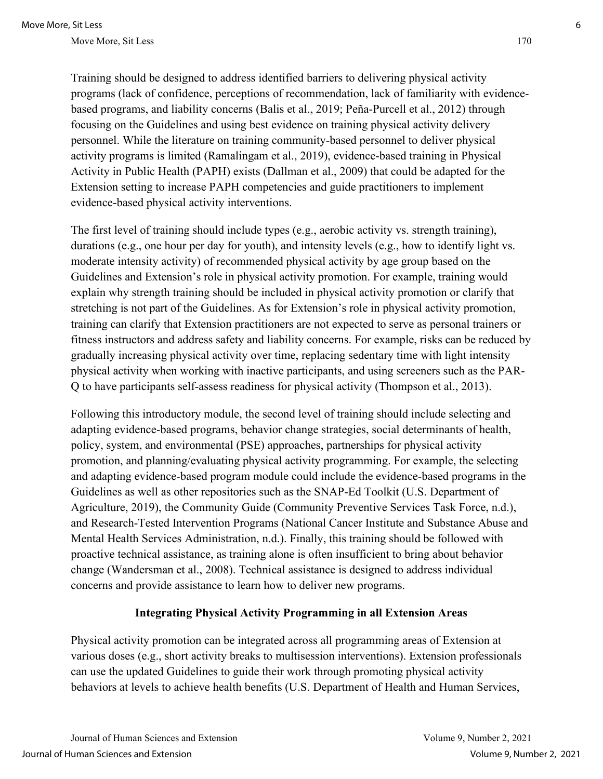Training should be designed to address identified barriers to delivering physical activity programs (lack of confidence, perceptions of recommendation, lack of familiarity with evidencebased programs, and liability concerns (Balis et al., 2019; Peña-Purcell et al., 2012) through focusing on the Guidelines and using best evidence on training physical activity delivery personnel. While the literature on training community-based personnel to deliver physical activity programs is limited (Ramalingam et al., 2019), evidence-based training in Physical Activity in Public Health (PAPH) exists (Dallman et al., 2009) that could be adapted for the Extension setting to increase PAPH competencies and guide practitioners to implement evidence-based physical activity interventions.

The first level of training should include types (e.g., aerobic activity vs. strength training), durations (e.g., one hour per day for youth), and intensity levels (e.g., how to identify light vs. moderate intensity activity) of recommended physical activity by age group based on the Guidelines and Extension's role in physical activity promotion. For example, training would explain why strength training should be included in physical activity promotion or clarify that stretching is not part of the Guidelines. As for Extension's role in physical activity promotion, training can clarify that Extension practitioners are not expected to serve as personal trainers or fitness instructors and address safety and liability concerns. For example, risks can be reduced by gradually increasing physical activity over time, replacing sedentary time with light intensity physical activity when working with inactive participants, and using screeners such as the PAR-Q to have participants self-assess readiness for physical activity (Thompson et al., 2013).

Following this introductory module, the second level of training should include selecting and adapting evidence-based programs, behavior change strategies, social determinants of health, policy, system, and environmental (PSE) approaches, partnerships for physical activity promotion, and planning/evaluating physical activity programming. For example, the selecting and adapting evidence-based program module could include the evidence-based programs in the Guidelines as well as other repositories such as the SNAP-Ed Toolkit (U.S. Department of Agriculture, 2019), the Community Guide (Community Preventive Services Task Force, n.d.), and Research-Tested Intervention Programs (National Cancer Institute and Substance Abuse and Mental Health Services Administration, n.d.). Finally, this training should be followed with proactive technical assistance, as training alone is often insufficient to bring about behavior change (Wandersman et al., 2008). Technical assistance is designed to address individual concerns and provide assistance to learn how to deliver new programs.

#### **Integrating Physical Activity Programming in all Extension Areas**

Physical activity promotion can be integrated across all programming areas of Extension at various doses (e.g., short activity breaks to multisession interventions). Extension professionals can use the updated Guidelines to guide their work through promoting physical activity behaviors at levels to achieve health benefits (U.S. Department of Health and Human Services,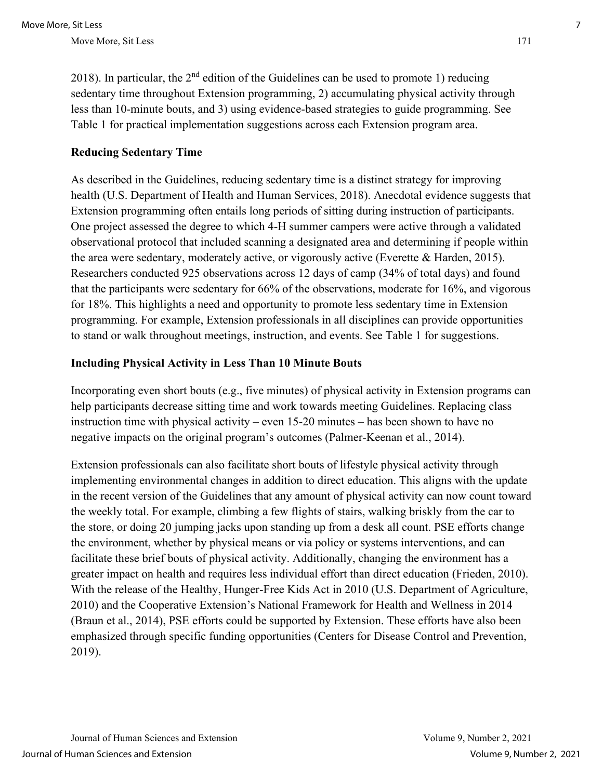2018). In particular, the  $2<sup>nd</sup>$  edition of the Guidelines can be used to promote 1) reducing sedentary time throughout Extension programming, 2) accumulating physical activity through less than 10-minute bouts, and 3) using evidence-based strategies to guide programming. See Table 1 for practical implementation suggestions across each Extension program area.

#### **Reducing Sedentary Time**

As described in the Guidelines, reducing sedentary time is a distinct strategy for improving health (U.S. Department of Health and Human Services, 2018). Anecdotal evidence suggests that Extension programming often entails long periods of sitting during instruction of participants. One project assessed the degree to which 4-H summer campers were active through a validated observational protocol that included scanning a designated area and determining if people within the area were sedentary, moderately active, or vigorously active (Everette & Harden, 2015). Researchers conducted 925 observations across 12 days of camp (34% of total days) and found that the participants were sedentary for 66% of the observations, moderate for 16%, and vigorous for 18%. This highlights a need and opportunity to promote less sedentary time in Extension programming. For example, Extension professionals in all disciplines can provide opportunities to stand or walk throughout meetings, instruction, and events. See Table 1 for suggestions.

#### **Including Physical Activity in Less Than 10 Minute Bouts**

Incorporating even short bouts (e.g., five minutes) of physical activity in Extension programs can help participants decrease sitting time and work towards meeting Guidelines. Replacing class instruction time with physical activity – even 15-20 minutes – has been shown to have no negative impacts on the original program's outcomes (Palmer-Keenan et al., 2014).

Extension professionals can also facilitate short bouts of lifestyle physical activity through implementing environmental changes in addition to direct education. This aligns with the update in the recent version of the Guidelines that any amount of physical activity can now count toward the weekly total. For example, climbing a few flights of stairs, walking briskly from the car to the store, or doing 20 jumping jacks upon standing up from a desk all count. PSE efforts change the environment, whether by physical means or via policy or systems interventions, and can facilitate these brief bouts of physical activity. Additionally, changing the environment has a greater impact on health and requires less individual effort than direct education (Frieden, 2010). With the release of the Healthy, Hunger-Free Kids Act in 2010 (U.S. Department of Agriculture, 2010) and the Cooperative Extension's National Framework for Health and Wellness in 2014 (Braun et al., 2014), PSE efforts could be supported by Extension. These efforts have also been emphasized through specific funding opportunities (Centers for Disease Control and Prevention, 2019).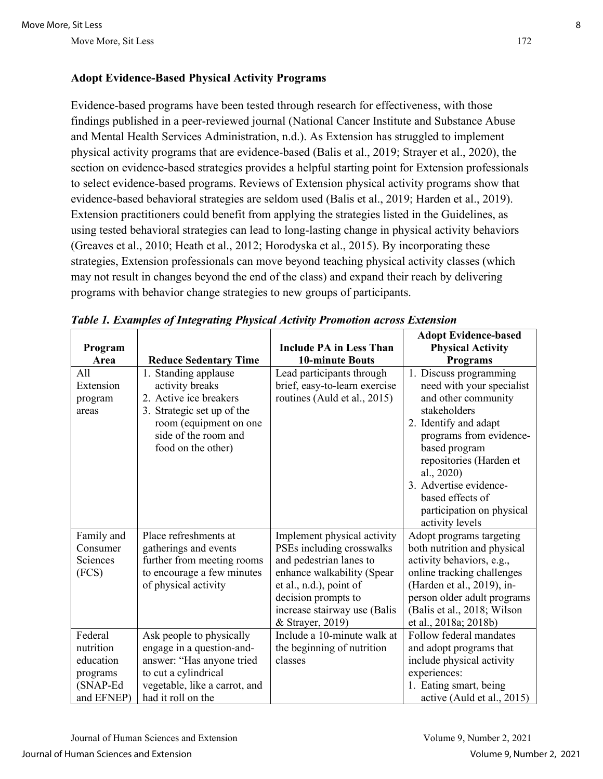#### **Adopt Evidence-Based Physical Activity Programs**

Evidence-based programs have been tested through research for effectiveness, with those findings published in a peer-reviewed journal (National Cancer Institute and Substance Abuse and Mental Health Services Administration, n.d.). As Extension has struggled to implement physical activity programs that are evidence-based (Balis et al., 2019; Strayer et al., 2020), the section on evidence-based strategies provides a helpful starting point for Extension professionals to select evidence-based programs. Reviews of Extension physical activity programs show that evidence-based behavioral strategies are seldom used (Balis et al., 2019; Harden et al., 2019). Extension practitioners could benefit from applying the strategies listed in the Guidelines, as using tested behavioral strategies can lead to long-lasting change in physical activity behaviors (Greaves et al., 2010; Heath et al., 2012; Horodyska et al., 2015). By incorporating these strategies, Extension professionals can move beyond teaching physical activity classes (which may not result in changes beyond the end of the class) and expand their reach by delivering programs with behavior change strategies to new groups of participants.

|            |                               |                                | <b>Adopt Evidence-based</b>                  |
|------------|-------------------------------|--------------------------------|----------------------------------------------|
| Program    |                               | <b>Include PA in Less Than</b> | <b>Physical Activity</b>                     |
| Area       | <b>Reduce Sedentary Time</b>  | <b>10-minute Bouts</b>         | <b>Programs</b>                              |
| All        | 1. Standing applause          | Lead participants through      | 1. Discuss programming                       |
| Extension  | activity breaks               | brief, easy-to-learn exercise  | need with your specialist                    |
| program    | 2. Active ice breakers        | routines (Auld et al., 2015)   | and other community                          |
| areas      | 3. Strategic set up of the    |                                | stakeholders                                 |
|            | room (equipment on one        |                                | 2. Identify and adapt                        |
|            | side of the room and          |                                | programs from evidence-                      |
|            | food on the other)            |                                | based program                                |
|            |                               |                                | repositories (Harden et                      |
|            |                               |                                | al., 2020)                                   |
|            |                               |                                | 3. Advertise evidence-                       |
|            |                               |                                | based effects of                             |
|            |                               |                                | participation on physical<br>activity levels |
| Family and | Place refreshments at         | Implement physical activity    | Adopt programs targeting                     |
| Consumer   | gatherings and events         | PSEs including crosswalks      | both nutrition and physical                  |
| Sciences   | further from meeting rooms    | and pedestrian lanes to        | activity behaviors, e.g.,                    |
| (FCS)      | to encourage a few minutes    | enhance walkability (Spear     | online tracking challenges                   |
|            | of physical activity          | et al., n.d.), point of        | (Harden et al., 2019), in-                   |
|            |                               | decision prompts to            | person older adult programs                  |
|            |                               | increase stairway use (Balis   | (Balis et al., 2018; Wilson                  |
|            |                               | & Strayer, 2019)               | et al., 2018a; 2018b)                        |
| Federal    | Ask people to physically      | Include a 10-minute walk at    | Follow federal mandates                      |
| nutrition  | engage in a question-and-     | the beginning of nutrition     | and adopt programs that                      |
| education  | answer: "Has anyone tried     | classes                        | include physical activity                    |
| programs   | to cut a cylindrical          |                                | experiences:                                 |
| (SNAP-Ed   | vegetable, like a carrot, and |                                | 1. Eating smart, being                       |
| and EFNEP) | had it roll on the            |                                | active (Auld et al., 2015)                   |

*Table 1. Examples of Integrating Physical Activity Promotion across Extension*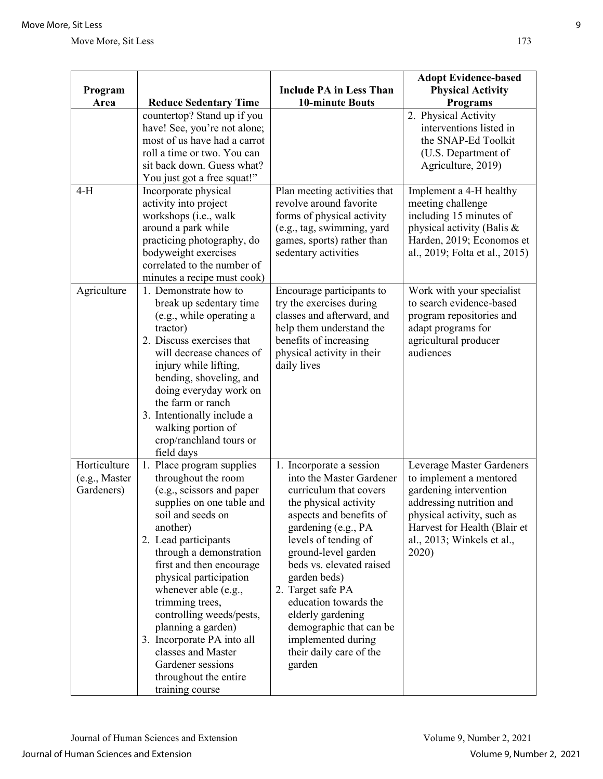| Program<br>Area                             | <b>Reduce Sedentary Time</b>                                                                                                                                                                                                                                                                                                                                                                                                                                           | <b>Include PA in Less Than</b><br><b>10-minute Bouts</b>                                                                                                                                                                                                                                                                                                                                                      | <b>Adopt Evidence-based</b><br><b>Physical Activity</b><br><b>Programs</b>                                                                                                                                      |
|---------------------------------------------|------------------------------------------------------------------------------------------------------------------------------------------------------------------------------------------------------------------------------------------------------------------------------------------------------------------------------------------------------------------------------------------------------------------------------------------------------------------------|---------------------------------------------------------------------------------------------------------------------------------------------------------------------------------------------------------------------------------------------------------------------------------------------------------------------------------------------------------------------------------------------------------------|-----------------------------------------------------------------------------------------------------------------------------------------------------------------------------------------------------------------|
|                                             | countertop? Stand up if you<br>have! See, you're not alone;<br>most of us have had a carrot<br>roll a time or two. You can<br>sit back down. Guess what?<br>You just got a free squat!"                                                                                                                                                                                                                                                                                |                                                                                                                                                                                                                                                                                                                                                                                                               | 2. Physical Activity<br>interventions listed in<br>the SNAP-Ed Toolkit<br>(U.S. Department of<br>Agriculture, 2019)                                                                                             |
| $4-H$                                       | Incorporate physical<br>activity into project<br>workshops (i.e., walk<br>around a park while<br>practicing photography, do<br>bodyweight exercises<br>correlated to the number of<br>minutes a recipe must cook)                                                                                                                                                                                                                                                      | Plan meeting activities that<br>revolve around favorite<br>forms of physical activity<br>(e.g., tag, swimming, yard<br>games, sports) rather than<br>sedentary activities                                                                                                                                                                                                                                     | Implement a 4-H healthy<br>meeting challenge<br>including 15 minutes of<br>physical activity (Balis &<br>Harden, 2019; Economos et<br>al., 2019; Folta et al., 2015)                                            |
| Agriculture                                 | 1. Demonstrate how to<br>break up sedentary time<br>(e.g., while operating a<br>tractor)<br>2. Discuss exercises that<br>will decrease chances of<br>injury while lifting,<br>bending, shoveling, and<br>doing everyday work on<br>the farm or ranch<br>3. Intentionally include a<br>walking portion of<br>crop/ranchland tours or<br>field days                                                                                                                      | Encourage participants to<br>try the exercises during<br>classes and afterward, and<br>help them understand the<br>benefits of increasing<br>physical activity in their<br>daily lives                                                                                                                                                                                                                        | Work with your specialist<br>to search evidence-based<br>program repositories and<br>adapt programs for<br>agricultural producer<br>audiences                                                                   |
| Horticulture<br>(e.g., Master<br>Gardeners) | 1. Place program supplies<br>throughout the room<br>(e.g., scissors and paper<br>supplies on one table and<br>soil and seeds on<br>another)<br>2. Lead participants<br>through a demonstration<br>first and then encourage<br>physical participation<br>whenever able (e.g.,<br>trimming trees,<br>controlling weeds/pests,<br>planning a garden)<br>3. Incorporate PA into all<br>classes and Master<br>Gardener sessions<br>throughout the entire<br>training course | 1. Incorporate a session<br>into the Master Gardener<br>curriculum that covers<br>the physical activity<br>aspects and benefits of<br>gardening (e.g., PA<br>levels of tending of<br>ground-level garden<br>beds vs. elevated raised<br>garden beds)<br>2. Target safe PA<br>education towards the<br>elderly gardening<br>demographic that can be<br>implemented during<br>their daily care of the<br>garden | Leverage Master Gardeners<br>to implement a mentored<br>gardening intervention<br>addressing nutrition and<br>physical activity, such as<br>Harvest for Health (Blair et<br>al., 2013; Winkels et al.,<br>2020) |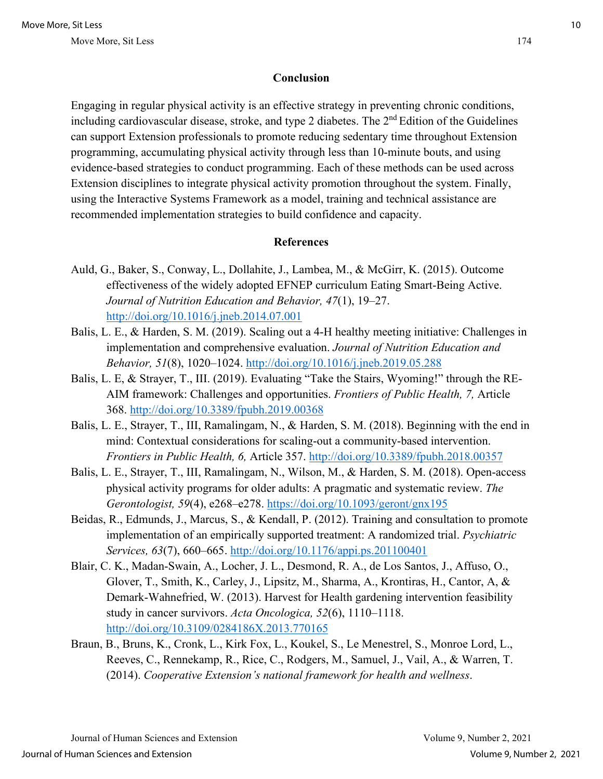#### **Conclusion**

Engaging in regular physical activity is an effective strategy in preventing chronic conditions, including cardiovascular disease, stroke, and type 2 diabetes. The 2<sup>nd</sup> Edition of the Guidelines can support Extension professionals to promote reducing sedentary time throughout Extension programming, accumulating physical activity through less than 10-minute bouts, and using evidence-based strategies to conduct programming. Each of these methods can be used across Extension disciplines to integrate physical activity promotion throughout the system. Finally, using the Interactive Systems Framework as a model, training and technical assistance are recommended implementation strategies to build confidence and capacity.

#### **References**

- Auld, G., Baker, S., Conway, L., Dollahite, J., Lambea, M., & McGirr, K. (2015). Outcome effectiveness of the widely adopted EFNEP curriculum Eating Smart-Being Active. *Journal of Nutrition Education and Behavior, 47*(1), 19–27. <http://doi.org/10.1016/j.jneb.2014.07.001>
- Balis, L. E., & Harden, S. M. (2019). Scaling out a 4-H healthy meeting initiative: Challenges in implementation and comprehensive evaluation. *Journal of Nutrition Education and Behavior, 51*(8), 1020–1024.<http://doi.org/10.1016/j.jneb.2019.05.288>
- Balis, L. E, & Strayer, T., III. (2019). Evaluating "Take the Stairs, Wyoming!" through the RE-AIM framework: Challenges and opportunities. *Frontiers of Public Health, 7,* Article 368. <http://doi.org/10.3389/fpubh.2019.00368>
- Balis, L. E., Strayer, T., III, Ramalingam, N., & Harden, S. M. (2018). Beginning with the end in mind: Contextual considerations for scaling-out a community-based intervention. *Frontiers in Public Health, 6,* Article 357.<http://doi.org/10.3389/fpubh.2018.00357>
- Balis, L. E., Strayer, T., III, Ramalingam, N., Wilson, M., & Harden, S. M. (2018). Open-access physical activity programs for older adults: A pragmatic and systematic review. *The Gerontologist, 59*(4), e268–e278.<https://doi.org/10.1093/geront/gnx195>
- Beidas, R., Edmunds, J., Marcus, S., & Kendall, P. (2012). Training and consultation to promote implementation of an empirically supported treatment: A randomized trial. *Psychiatric Services, 63*(7), 660–665.<http://doi.org/10.1176/appi.ps.201100401>
- Blair, C. K., Madan-Swain, A., Locher, J. L., Desmond, R. A., de Los Santos, J., Affuso, O., Glover, T., Smith, K., Carley, J., Lipsitz, M., Sharma, A., Krontiras, H., Cantor, A, & Demark-Wahnefried, W. (2013). Harvest for Health gardening intervention feasibility study in cancer survivors. *Acta Oncologica, 52*(6), 1110–1118. <http://doi.org/10.3109/0284186X.2013.770165>
- Braun, B., Bruns, K., Cronk, L., Kirk Fox, L., Koukel, S., Le Menestrel, S., Monroe Lord, L., Reeves, C., Rennekamp, R., Rice, C., Rodgers, M., Samuel, J., Vail, A., & Warren, T. (2014). *Cooperative Extension's national framework for health and wellness*.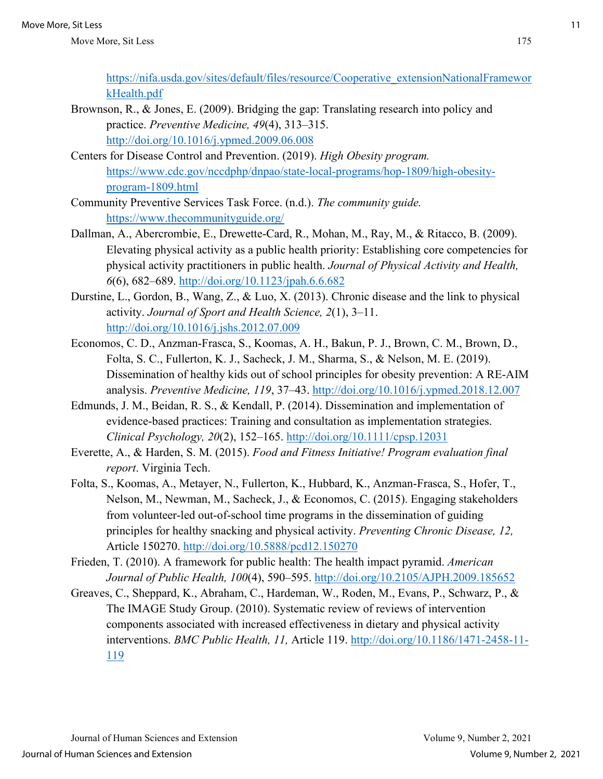https://nifa.usda.gov/sites/default/files/resource/Cooperative\_extensionNationalFramewor kHealth.pdf

- Brownson, R., & Jones, E. (2009). Bridging the gap: Translating research into policy and practice. *Preventive Medicine, 49*(4), 313–315. <http://doi.org/10.1016/j.ypmed.2009.06.008>
- Centers for Disease Control and Prevention. (2019). *High Obesity program.* https://www.cdc.gov/nccdphp/dnpao/state-local-programs/hop-1809/high-obesityprogram-1809.html
- Community Preventive Services Task Force. (n.d.). *The community guide.* https://www.thecommunityguide.org/
- Dallman, A., Abercrombie, E., Drewette-Card, R., Mohan, M., Ray, M., & Ritacco, B. (2009). Elevating physical activity as a public health priority: Establishing core competencies for physical activity practitioners in public health. *Journal of Physical Activity and Health, 6*(6), 682–689.<http://doi.org/10.1123/jpah.6.6.682>
- Durstine, L., Gordon, B., Wang, Z., & Luo, X. (2013). Chronic disease and the link to physical activity. *Journal of Sport and Health Science, 2*(1), 3–11. <http://doi.org/10.1016/j.jshs.2012.07.009>
- Economos, C. D., Anzman-Frasca, S., Koomas, A. H., Bakun, P. J., Brown, C. M., Brown, D., Folta, S. C., Fullerton, K. J., Sacheck, J. M., Sharma, S., & Nelson, M. E. (2019). Dissemination of healthy kids out of school principles for obesity prevention: A RE-AIM analysis. *Preventive Medicine, 119*, 37–43.<http://doi.org/10.1016/j.ypmed.2018.12.007>
- Edmunds, J. M., Beidan, R. S., & Kendall, P. (2014). Dissemination and implementation of evidence-based practices: Training and consultation as implementation strategies. *Clinical Psychology, 20*(2), 152–165.<http://doi.org/10.1111/cpsp.12031>
- Everette, A., & Harden, S. M. (2015). *Food and Fitness Initiative! Program evaluation final report*. Virginia Tech.
- Folta, S., Koomas, A., Metayer, N., Fullerton, K., Hubbard, K., Anzman-Frasca, S., Hofer, T., Nelson, M., Newman, M., Sacheck, J., & Economos, C. (2015). Engaging stakeholders from volunteer-led out-of-school time programs in the dissemination of guiding principles for healthy snacking and physical activity. *Preventing Chronic Disease, 12,*  Article 150270.<http://doi.org/10.5888/pcd12.150270>
- Frieden, T. (2010). A framework for public health: The health impact pyramid. *American Journal of Public Health, 100*(4), 590–595.<http://doi.org/10.2105/AJPH.2009.185652>
- Greaves, C., Sheppard, K., Abraham, C., Hardeman, W., Roden, M., Evans, P., Schwarz, P., & The IMAGE Study Group. (2010). Systematic review of reviews of intervention components associated with increased effectiveness in dietary and physical activity interventions. *BMC Public Health, 11,* Article 119. [http://doi.org/10.1186/1471-2458-11-](http://doi.org/10.1186/1471-2458-11-119) [119](http://doi.org/10.1186/1471-2458-11-119)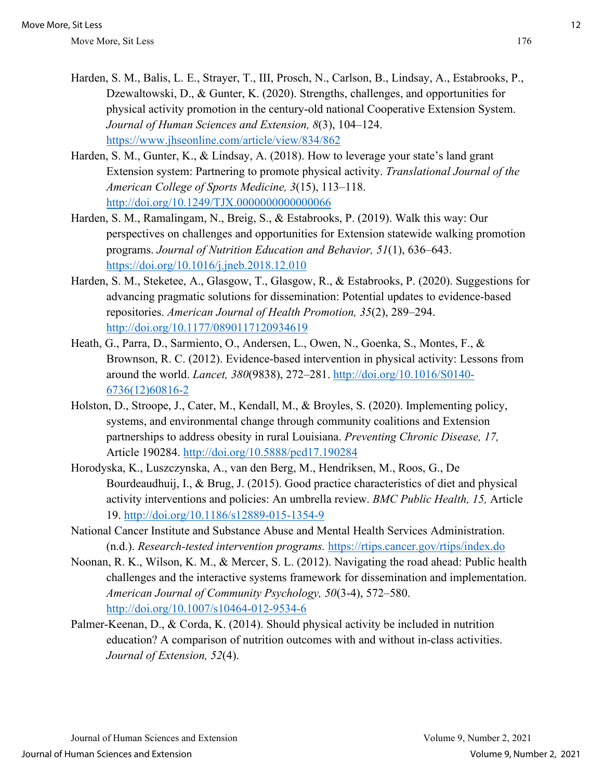- Harden, S. M., Balis, L. E., Strayer, T., III, Prosch, N., Carlson, B., Lindsay, A., Estabrooks, P., Dzewaltowski, D., & Gunter, K. (2020). Strengths, challenges, and opportunities for physical activity promotion in the century-old national Cooperative Extension System. *Journal of Human Sciences and Extension, 8*(3), 104–124. <https://www.jhseonline.com/article/view/834/862>
- Harden, S. M., Gunter, K., & Lindsay, A. (2018). How to leverage your state's land grant Extension system: Partnering to promote physical activity. *Translational Journal of the American College of Sports Medicine, 3*(15), 113–118. <http://doi.org/10.1249/TJX.0000000000000066>
- Harden, S. M., Ramalingam, N., Breig, S., & Estabrooks, P. (2019). Walk this way: Our perspectives on challenges and opportunities for Extension statewide walking promotion programs. *Journal of Nutrition Education and Behavior, 51*(1), 636–643. <https://doi.org/10.1016/j.jneb.2018.12.010>
- Harden, S. M., Steketee, A., Glasgow, T., Glasgow, R., & Estabrooks, P. (2020). Suggestions for advancing pragmatic solutions for dissemination: Potential updates to evidence-based repositories. *American Journal of Health Promotion, 35*(2), 289–294. <http://doi.org/10.1177/0890117120934619>
- Heath, G., Parra, D., Sarmiento, O., Andersen, L., Owen, N., Goenka, S., Montes, F., & Brownson, R. C. (2012). Evidence-based intervention in physical activity: Lessons from around the world. *Lancet, 380*(9838), 272–281. [http://doi.org/10.1016/S0140-](http://doi.org/10.1016/S0140-6736(12)60816-2) [6736\(12\)60816-2](http://doi.org/10.1016/S0140-6736(12)60816-2)
- Holston, D., Stroope, J., Cater, M., Kendall, M., & Broyles, S. (2020). Implementing policy, systems, and environmental change through community coalitions and Extension partnerships to address obesity in rural Louisiana. *Preventing Chronic Disease, 17,*  Article 190284.<http://doi.org/10.5888/pcd17.190284>
- Horodyska, K., Luszczynska, A., van den Berg, M., Hendriksen, M., Roos, G., De Bourdeaudhuij, I., & Brug, J. (2015). Good practice characteristics of diet and physical activity interventions and policies: An umbrella review. *BMC Public Health, 15,* Article 19.<http://doi.org/10.1186/s12889-015-1354-9>
- National Cancer Institute and Substance Abuse and Mental Health Services Administration. (n.d.). *Research-tested intervention programs.* <https://rtips.cancer.gov/rtips/index.do>
- Noonan, R. K., Wilson, K. M., & Mercer, S. L. (2012). Navigating the road ahead: Public health challenges and the interactive systems framework for dissemination and implementation. *American Journal of Community Psychology, 50*(3-4), 572–580. <http://doi.org/10.1007/s10464-012-9534-6>
- Palmer-Keenan, D., & Corda, K. (2014). Should physical activity be included in nutrition education? A comparison of nutrition outcomes with and without in-class activities. *Journal of Extension, 52*(4).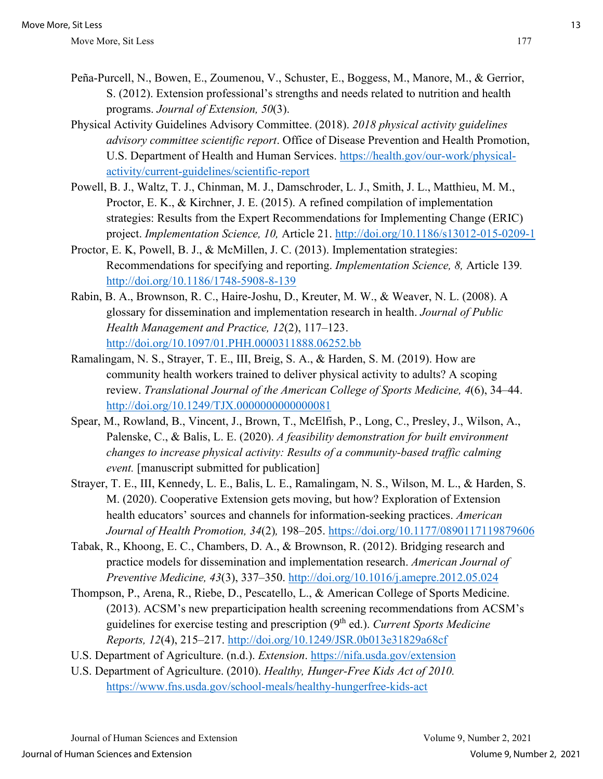- Peña-Purcell, N., Bowen, E., Zoumenou, V., Schuster, E., Boggess, M., Manore, M., & Gerrior, S. (2012). Extension professional's strengths and needs related to nutrition and health programs. *Journal of Extension, 50*(3).
- Physical Activity Guidelines Advisory Committee. (2018). *2018 physical activity guidelines advisory committee scientific report*. Office of Disease Prevention and Health Promotion, U.S. Department of Health and Human Services. [https://health.gov/our-work/physical](https://health.gov/our-work/physical-activity/current-guidelines/scientific-report)[activity/current-guidelines/scientific-report](https://health.gov/our-work/physical-activity/current-guidelines/scientific-report)
- Powell, B. J., Waltz, T. J., Chinman, M. J., Damschroder, L. J., Smith, J. L., Matthieu, M. M., Proctor, E. K., & Kirchner, J. E. (2015). A refined compilation of implementation strategies: Results from the Expert Recommendations for Implementing Change (ERIC) project. *Implementation Science, 10,* Article 21.<http://doi.org/10.1186/s13012-015-0209-1>
- Proctor, E. K, Powell, B. J., & McMillen, J. C. (2013). Implementation strategies: Recommendations for specifying and reporting. *Implementation Science, 8,* Article 139*.*  <http://doi.org/10.1186/1748-5908-8-139>
- Rabin, B. A., Brownson, R. C., Haire-Joshu, D., Kreuter, M. W., & Weaver, N. L. (2008). A glossary for dissemination and implementation research in health. *Journal of Public Health Management and Practice, 12*(2), 117–123. <http://doi.org/10.1097/01.PHH.0000311888.06252.bb>
- Ramalingam, N. S., Strayer, T. E., III, Breig, S. A., & Harden, S. M. (2019). How are community health workers trained to deliver physical activity to adults? A scoping review. *Translational Journal of the American College of Sports Medicine, 4*(6), 34–44. <http://doi.org/10.1249/TJX.0000000000000081>
- Spear, M., Rowland, B., Vincent, J., Brown, T., McElfish, P., Long, C., Presley, J., Wilson, A., Palenske, C., & Balis, L. E. (2020). *A feasibility demonstration for built environment changes to increase physical activity: Results of a community-based traffic calming event.* [manuscript submitted for publication]
- Strayer, T. E., III, Kennedy, L. E., Balis, L. E., Ramalingam, N. S., Wilson, M. L., & Harden, S. M. (2020). Cooperative Extension gets moving, but how? Exploration of Extension health educators' sources and channels for information-seeking practices. *American Journal of Health Promotion, 34*(2)*,* 198–205.<https://doi.org/10.1177/0890117119879606>
- Tabak, R., Khoong, E. C., Chambers, D. A., & Brownson, R. (2012). Bridging research and practice models for dissemination and implementation research. *American Journal of Preventive Medicine, 43*(3), 337–350.<http://doi.org/10.1016/j.amepre.2012.05.024>
- Thompson, P., Arena, R., Riebe, D., Pescatello, L., & American College of Sports Medicine. (2013). ACSM's new preparticipation health screening recommendations from ACSM's guidelines for exercise testing and prescription (9th ed.). *Current Sports Medicine Reports, 12*(4), 215–217.<http://doi.org/10.1249/JSR.0b013e31829a68cf>
- U.S. Department of Agriculture. (n.d.). *Extension*.<https://nifa.usda.gov/extension>
- U.S. Department of Agriculture. (2010). *Healthy, Hunger-Free Kids Act of 2010.* <https://www.fns.usda.gov/school-meals/healthy-hungerfree-kids-act>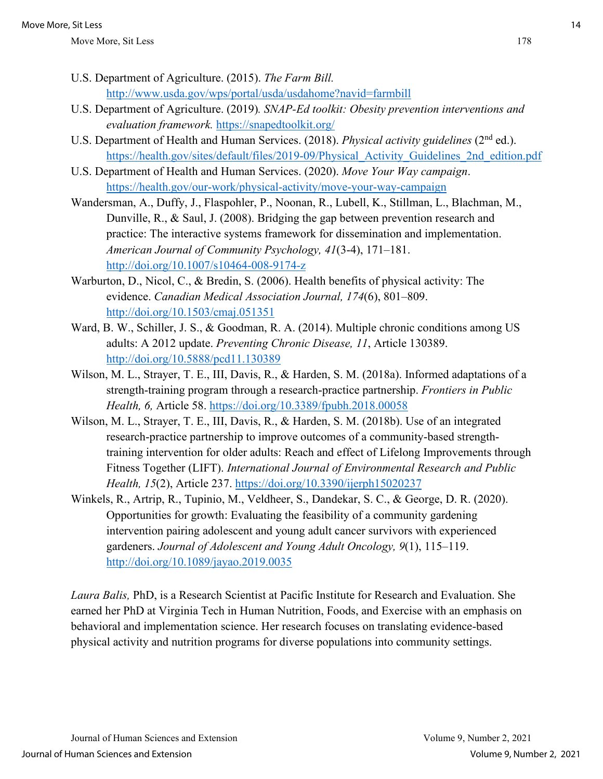- U.S. Department of Agriculture. (2015). *The Farm Bill.* <http://www.usda.gov/wps/portal/usda/usdahome?navid=farmbill>
- U.S. Department of Agriculture. (2019)*. SNAP-Ed toolkit: Obesity prevention interventions and evaluation framework.* https://snapedtoolkit.org/
- U.S. Department of Health and Human Services. (2018). *Physical activity guidelines* (2<sup>nd</sup> ed.). https://health.gov/sites/default/files/2019-09/Physical Activity Guidelines 2nd edition.pdf
- U.S. Department of Health and Human Services. (2020). *Move Your Way campaign*. https://health.gov/our-work/physical-activity/move-your-way-campaign
- Wandersman, A., Duffy, J., Flaspohler, P., Noonan, R., Lubell, K., Stillman, L., Blachman, M., Dunville, R., & Saul, J. (2008). Bridging the gap between prevention research and practice: The interactive systems framework for dissemination and implementation. *American Journal of Community Psychology, 41*(3-4), 171–181. <http://doi.org/10.1007/s10464-008-9174-z>
- Warburton, D., Nicol, C., & Bredin, S. (2006). Health benefits of physical activity: The evidence. *Canadian Medical Association Journal, 174*(6), 801–809. <http://doi.org/10.1503/cmaj.051351>
- Ward, B. W., Schiller, J. S., & Goodman, R. A. (2014). Multiple chronic conditions among US adults: A 2012 update. *Preventing Chronic Disease, 11*, Article 130389. <http://doi.org/10.5888/pcd11.130389>
- Wilson, M. L., Strayer, T. E., III, Davis, R., & Harden, S. M. (2018a). Informed adaptations of a strength-training program through a research-practice partnership. *Frontiers in Public Health, 6,* Article 58.<https://doi.org/10.3389/fpubh.2018.00058>
- Wilson, M. L., Strayer, T. E., III, Davis, R., & Harden, S. M. (2018b). Use of an integrated research-practice partnership to improve outcomes of a community-based strengthtraining intervention for older adults: Reach and effect of Lifelong Improvements through Fitness Together (LIFT). *International Journal of Environmental Research and Public Health, 15*(2), Article 237.<https://doi.org/10.3390/ijerph15020237>
- Winkels, R., Artrip, R., Tupinio, M., Veldheer, S., Dandekar, S. C., & George, D. R. (2020). Opportunities for growth: Evaluating the feasibility of a community gardening intervention pairing adolescent and young adult cancer survivors with experienced gardeners. *Journal of Adolescent and Young Adult Oncology, 9*(1), 115–119. <http://doi.org/10.1089/jayao.2019.0035>

*Laura Balis,* PhD, is a Research Scientist at Pacific Institute for Research and Evaluation. She earned her PhD at Virginia Tech in Human Nutrition, Foods, and Exercise with an emphasis on behavioral and implementation science. Her research focuses on translating evidence-based physical activity and nutrition programs for diverse populations into community settings.